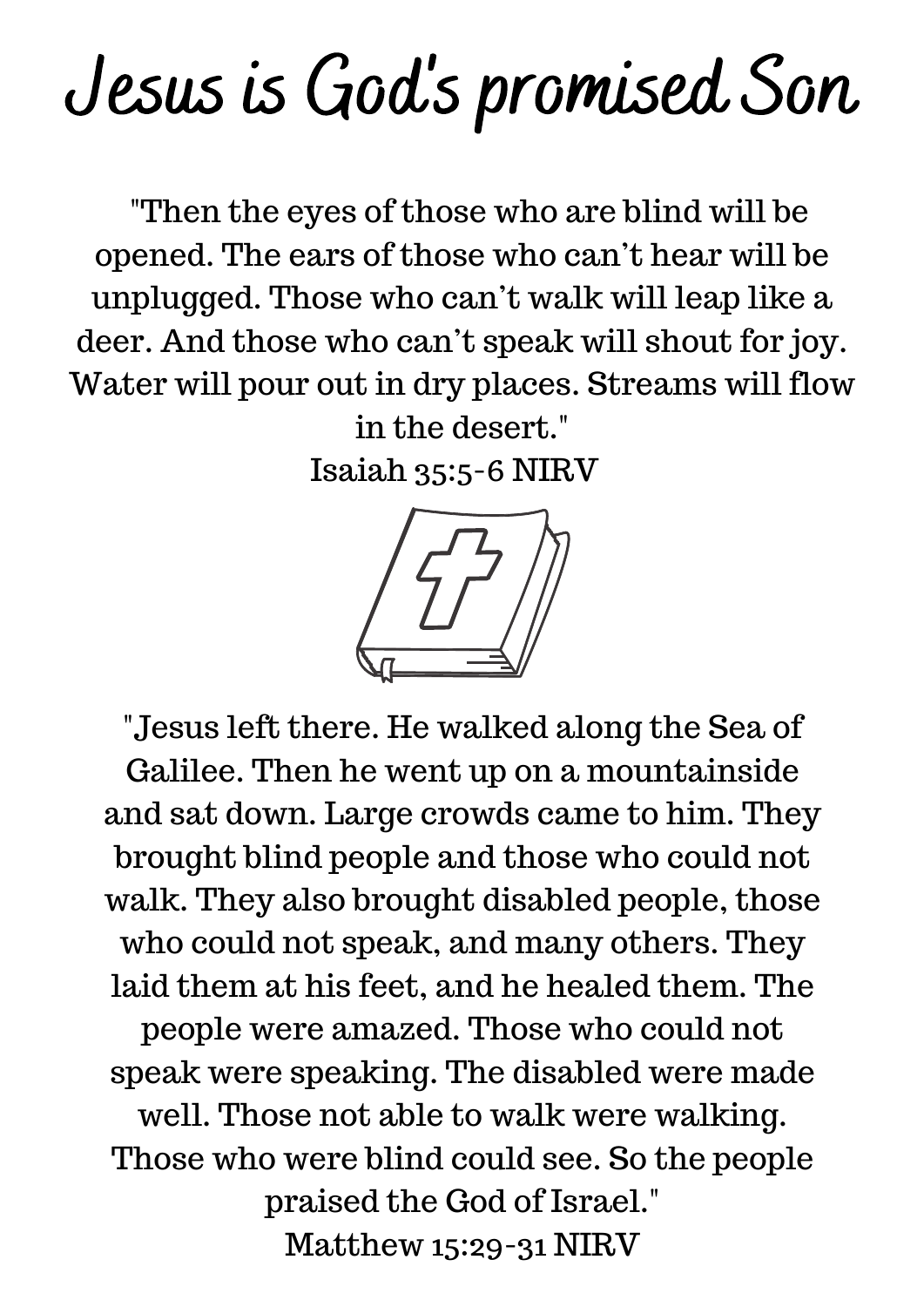## Jesus is God' s promised Son

"Then the eyes of those who are blind will be opened. The ears of those who can't hear will be unplugged. Those who can't walk will leap like a deer. And those who can't speak will shout for joy. Water will pour out in dry places. Streams will flow in the desert."

Isaiah 35:5-6 NIRV



"Jesus left there. He walked along the Sea of Galilee. Then he went up on a mountainside and sat down. Large crowds came to him. They brought blind people and those who could not walk. They also brought disabled people, those who could not speak, and many others. They laid them at his feet, and he healed them. The people were amazed. Those who could not speak were speaking. The disabled were made well. Those not able to walk were walking. Those who were blind could see. So the people praised the God of Israel." Matthew 15:29-31 NIRV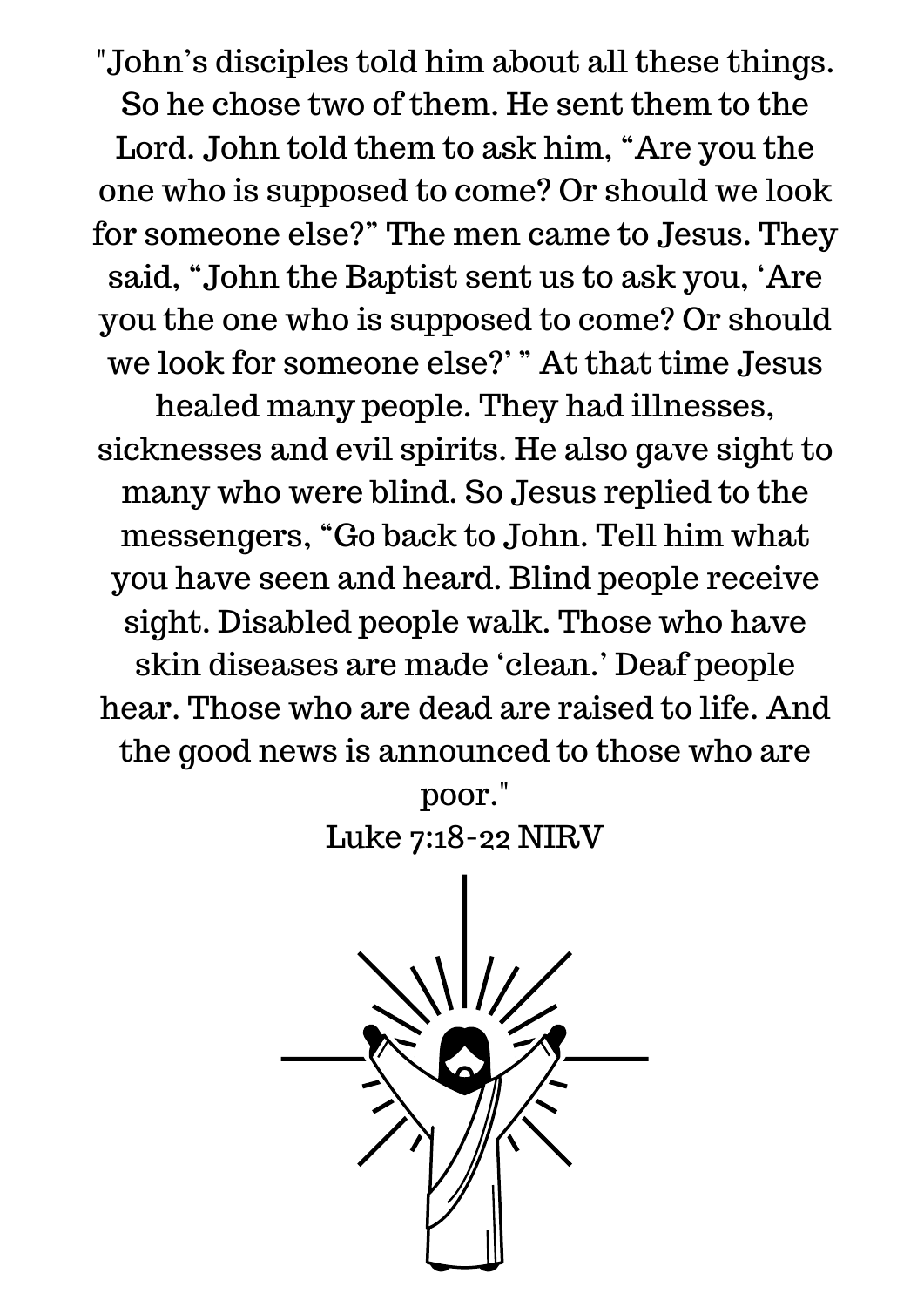"John's disciples told him about all these things. So he chose two of them. He sent them to the Lord. John told them to ask him, "Are you the one who is supposed to come? Or should we look for someone else?" The men came to Jesus. They said, "John the Baptist sent us to ask you, 'Are you the one who is supposed to come? Or should we look for someone else?' " At that time Jesus

healed many people. They had illnesses, sicknesses and evil spirits. He also gave sight to many who were blind. So Jesus replied to the messengers, "Go back to John. Tell him what you have seen and heard. Blind people receive sight. Disabled people walk. Those who have skin diseases are made 'clean.' Deaf people hear. Those who are dead are raised to life. And the good news is announced to those who are

> poor." Luke 7:18-22 NIRV